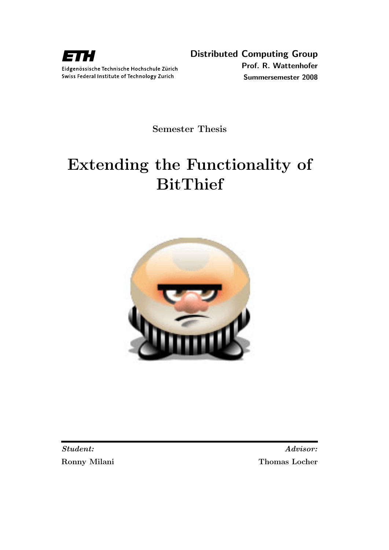

Semester Thesis

# Extending the Functionality of BitThief



Student: Advisor: Ronny Milani Thomas Locher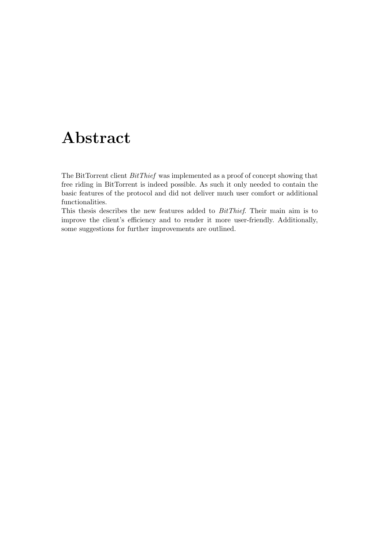# Abstract

<span id="page-1-0"></span>The BitTorrent client BitThief was implemented as a proof of concept showing that free riding in BitTorrent is indeed possible. As such it only needed to contain the basic features of the protocol and did not deliver much user comfort or additional functionalities.

This thesis describes the new features added to BitThief. Their main aim is to improve the client's efficiency and to render it more user-friendly. Additionally, some suggestions for further improvements are outlined.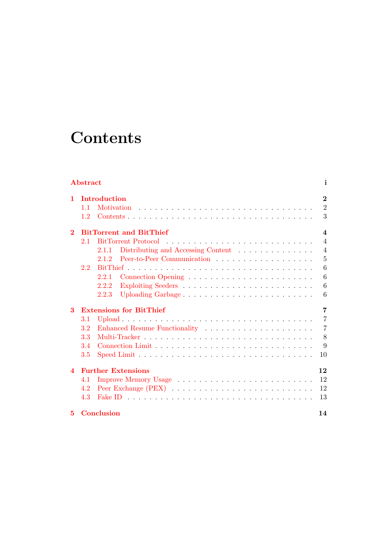# **Contents**

| Abstract         |            |                                             | i                   |
|------------------|------------|---------------------------------------------|---------------------|
| 1.               |            | Introduction                                | $\boldsymbol{2}$    |
|                  | 1.1<br>1.2 | Motivation                                  | $\overline{2}$<br>3 |
|                  |            |                                             |                     |
| $\mathbf 2$      |            | <b>BitTorrent and BitThief</b>              | $\boldsymbol{4}$    |
|                  | 2.1        | <b>BitTorrent Protocol</b>                  | $\overline{4}$      |
|                  |            | Distributing and Accessing Content<br>2.1.1 | $\overline{4}$      |
|                  |            | Peer-to-Peer Communication<br>2.1.2         | 5                   |
|                  | 2.2        |                                             | 6                   |
|                  |            | 2.2.1                                       | 6                   |
|                  |            | 2.2.2                                       | 6                   |
|                  |            | Uploading Garbage<br>2.2.3                  | 6                   |
| 3                |            | <b>Extensions for BitThief</b>              | 7                   |
|                  | $3.1\,$    |                                             | $\overline{7}$      |
|                  | 3.2        |                                             | $\overline{7}$      |
|                  | 3.3        |                                             | 8                   |
|                  | 3.4        |                                             | 9                   |
|                  | 3.5        |                                             | 10                  |
| $\boldsymbol{4}$ |            | <b>Further Extensions</b>                   | 12                  |
|                  | 4.1        |                                             | 12                  |
|                  | 4.2        |                                             | 12                  |
|                  | 4.3        |                                             | 13                  |
| 5                |            | <b>Conclusion</b>                           | 14                  |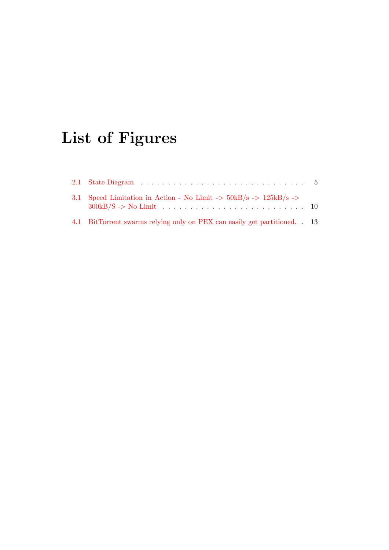# List of Figures

| 3.1 Speed Limitation in Action - No Limit -> $50kB/s$ -> $125kB/s$ ->    |  |
|--------------------------------------------------------------------------|--|
| 4.1 BitTorrent swarms relying only on PEX can easily get partitioned. 13 |  |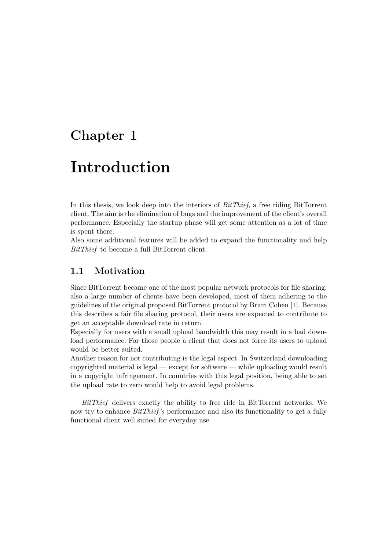## <span id="page-4-0"></span>Introduction

In this thesis, we look deep into the interiors of BitThief, a free riding BitTorrent client. The aim is the elimination of bugs and the improvement of the client's overall performance. Especially the startup phase will get some attention as a lot of time is spent there.

Also some additional features will be added to expand the functionality and help BitThief to become a full BitTorrent client.

### <span id="page-4-1"></span>1.1 Motivation

Since BitTorrent became one of the most popular network protocols for file sharing, also a large number of clients have been developed, most of them adhering to the guidelines of the original proposed BitTorrent protocol by Bram Cohen [\[1\]](#page-17-0). Because this describes a fair file sharing protocol, their users are expected to contribute to get an acceptable download rate in return.

Especially for users with a small upload bandwidth this may result in a bad download performance. For those people a client that does not force its users to upload would be better suited.

Another reason for not contributing is the legal aspect. In Switzerland downloading copyrighted material is legal — except for software — while uploading would result in a copyright infringement. In countries with this legal position, being able to set the upload rate to zero would help to avoid legal problems.

BitThief delivers exactly the ability to free ride in BitTorrent networks. We now try to enhance *BitThief's* performance and also its functionality to get a fully functional client well suited for everyday use.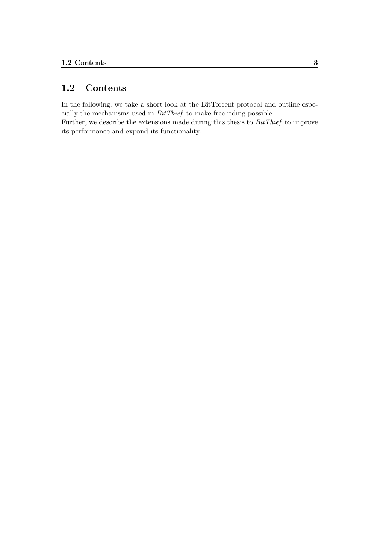### <span id="page-5-0"></span>1.2 Contents

In the following, we take a short look at the BitTorrent protocol and outline especially the mechanisms used in BitThief to make free riding possible. Further, we describe the extensions made during this thesis to BitThief to improve its performance and expand its functionality.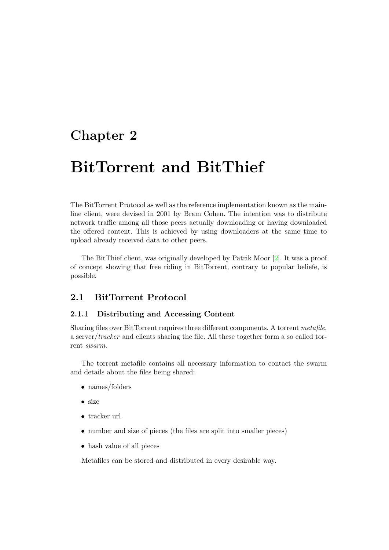# <span id="page-6-0"></span>BitTorrent and BitThief

The BitTorrent Protocol as well as the reference implementation known as the mainline client, were devised in 2001 by Bram Cohen. The intention was to distribute network traffic among all those peers actually downloading or having downloaded the offered content. This is achieved by using downloaders at the same time to upload already received data to other peers.

The BitThief client, was originally developed by Patrik Moor [\[2\]](#page-17-1). It was a proof of concept showing that free riding in BitTorrent, contrary to popular beliefe, is possible.

### <span id="page-6-1"></span>2.1 BitTorrent Protocol

### <span id="page-6-2"></span>2.1.1 Distributing and Accessing Content

Sharing files over BitTorrent requires three different components. A torrent metafile, a server/tracker and clients sharing the file. All these together form a so called torrent swarm.

The torrent metafile contains all necessary information to contact the swarm and details about the files being shared:

- names/folders
- size
- tracker url
- number and size of pieces (the files are split into smaller pieces)
- hash value of all pieces

Metafiles can be stored and distributed in every desirable way.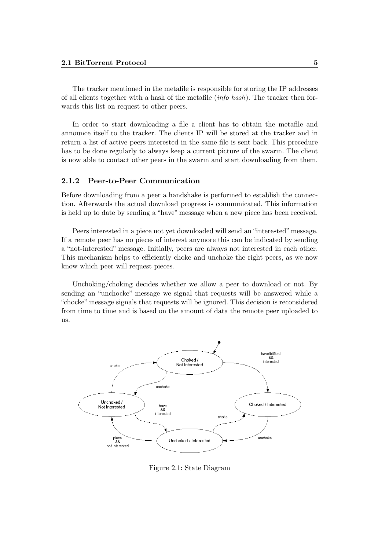The tracker mentioned in the metafile is responsible for storing the IP addresses of all clients together with a hash of the metafile *(info hash)*. The tracker then forwards this list on request to other peers.

In order to start downloading a file a client has to obtain the metafile and announce itself to the tracker. The clients IP will be stored at the tracker and in return a list of active peers interested in the same file is sent back. This precedure has to be done regularly to always keep a current picture of the swarm. The client is now able to contact other peers in the swarm and start downloading from them.

#### <span id="page-7-0"></span>2.1.2 Peer-to-Peer Communication

Before downloading from a peer a handshake is performed to establish the connection. Afterwards the actual download progress is communicated. This information is held up to date by sending a "have" message when a new piece has been received.

Peers interested in a piece not yet downloaded will send an "interested"message. If a remote peer has no pieces of interest anymore this can be indicated by sending a "not-interested" message. Initially, peers are always not interested in each other. This mechanism helps to efficiently choke and unchoke the right peers, as we now know which peer will request pieces.

Unchoking/choking decides whether we allow a peer to download or not. By sending an "unchocke" message we signal that requests will be answered while a "chocke" message signals that requests will be ignored. This decision is reconsidered from time to time and is based on the amount of data the remote peer uploaded to us.



<span id="page-7-1"></span>Figure 2.1: State Diagram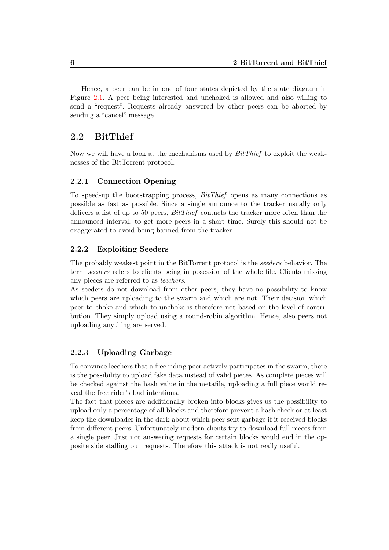Hence, a peer can be in one of four states depicted by the state diagram in Figure [2.1.](#page-7-1) A peer being interested and unchoked is allowed and also willing to send a "request". Requests already answered by other peers can be aborted by sending a "cancel" message.

### <span id="page-8-0"></span>2.2 BitThief

Now we will have a look at the mechanisms used by BitThief to exploit the weaknesses of the BitTorrent protocol.

### <span id="page-8-1"></span>2.2.1 Connection Opening

To speed-up the bootstrapping process, BitThief opens as many connections as possible as fast as possible. Since a single announce to the tracker usually only delivers a list of up to 50 peers,  $BitThief$  contacts the tracker more often than the announced interval, to get more peers in a short time. Surely this should not be exaggerated to avoid being banned from the tracker.

### <span id="page-8-2"></span>2.2.2 Exploiting Seeders

The probably weakest point in the BitTorrent protocol is the seeders behavior. The term seeders refers to clients being in posession of the whole file. Clients missing any pieces are referred to as leechers.

As seeders do not download from other peers, they have no possibility to know which peers are uploading to the swarm and which are not. Their decision which peer to choke and which to unchoke is therefore not based on the level of contribution. They simply upload using a round-robin algorithm. Hence, also peers not uploading anything are served.

### <span id="page-8-3"></span>2.2.3 Uploading Garbage

To convince leechers that a free riding peer actively participates in the swarm, there is the possibility to upload fake data instead of valid pieces. As complete pieces will be checked against the hash value in the metafile, uploading a full piece would reveal the free rider's bad intentions.

The fact that pieces are additionally broken into blocks gives us the possibility to upload only a percentage of all blocks and therefore prevent a hash check or at least keep the downloader in the dark about which peer sent garbage if it received blocks from different peers. Unfortunately modern clients try to download full pieces from a single peer. Just not answering requests for certain blocks would end in the opposite side stalling our requests. Therefore this attack is not really useful.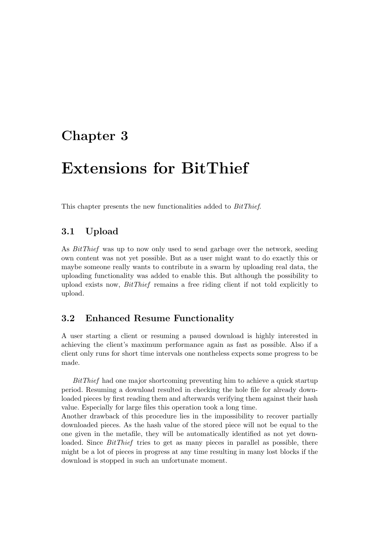## <span id="page-9-0"></span>Extensions for BitThief

This chapter presents the new functionalities added to BitThief.

### <span id="page-9-1"></span>3.1 Upload

As BitThief was up to now only used to send garbage over the network, seeding own content was not yet possible. But as a user might want to do exactly this or maybe someone really wants to contribute in a swarm by uploading real data, the uploading functionality was added to enable this. But although the possibility to upload exists now, BitThief remains a free riding client if not told explicitly to upload.

### <span id="page-9-2"></span>3.2 Enhanced Resume Functionality

A user starting a client or resuming a paused download is highly interested in achieving the client's maximum performance again as fast as possible. Also if a client only runs for short time intervals one nontheless expects some progress to be made.

BitThief had one major shortcoming preventing him to achieve a quick startup period. Resuming a download resulted in checking the hole file for already downloaded pieces by first reading them and afterwards verifying them against their hash value. Especially for large files this operation took a long time.

Another drawback of this procedure lies in the impossibility to recover partially downloaded pieces. As the hash value of the stored piece will not be equal to the one given in the metafile, they will be automatically identified as not yet downloaded. Since *BitThief* tries to get as many pieces in parallel as possible, there might be a lot of pieces in progress at any time resulting in many lost blocks if the download is stopped in such an unfortunate moment.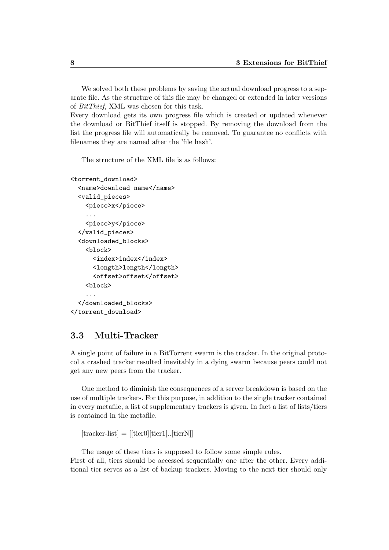We solved both these problems by saving the actual download progress to a separate file. As the structure of this file may be changed or extended in later versions of BitThief, XML was chosen for this task.

Every download gets its own progress file which is created or updated whenever the download or BitThief itself is stopped. By removing the download from the list the progress file will automatically be removed. To guarantee no conflicts with filenames they are named after the 'file hash'.

The structure of the XML file is as follows:

```
<torrent_download>
  <name>download name</name>
  <valid_pieces>
    <piece>x</piece>
    ...
    <piece>y</piece>
  </valid_pieces>
  <downloaded_blocks>
    <hlock><index>index</index>
      <length>length</length>
      <offset>offset</offset>
    <block>
    ...
  </downloaded_blocks>
</torrent_download>
```
### <span id="page-10-0"></span>3.3 Multi-Tracker

A single point of failure in a BitTorrent swarm is the tracker. In the original protocol a crashed tracker resulted inevitably in a dying swarm because peers could not get any new peers from the tracker.

One method to diminish the consequences of a server breakdown is based on the use of multiple trackers. For this purpose, in addition to the single tracker contained in every metafile, a list of supplementary trackers is given. In fact a list of lists/tiers is contained in the metafile.

 $[\text{tracker-list}] = [[\text{tier0}][\text{tier1}]].$ 

The usage of these tiers is supposed to follow some simple rules. First of all, tiers should be accessed sequentially one after the other. Every additional tier serves as a list of backup trackers. Moving to the next tier should only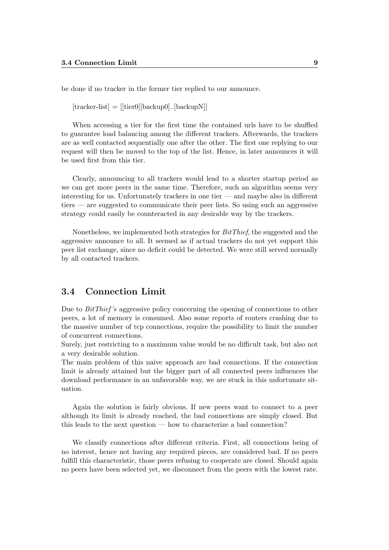be done if no tracker in the former tier replied to our announce.

 $[\text{tracker-list}] = [[\text{tier0}][\text{backup0}].[\text{backupN}]]$ 

When accessing a tier for the first time the contained urls have to be shuffled to guarantee load balancing among the different trackers. Afterwards, the trackers are as well contacted sequentially one after the other. The first one replying to our request will then be moved to the top of the list. Hence, in later announces it will be used first from this tier.

Clearly, announcing to all trackers would lead to a shorter startup period as we can get more peers in the same time. Therefore, such an algorithm seems very interesting for us. Unfortunately trackers in one tier — and maybe also in different tiers — are suggested to communicate their peer lists. So using such an aggressive strategy could easily be counteracted in any desirable way by the trackers.

Nonetheless, we implemented both strategies for BitThief, the suggested and the aggressive announce to all. It seemed as if actual trackers do not yet support this peer list exchange, since no deficit could be detected. We were still served normally by all contacted trackers.

### <span id="page-11-0"></span>3.4 Connection Limit

Due to BitThief 's aggressive policy concerning the opening of connections to other peers, a lot of memory is consumed. Also some reports of routers crashing due to the massive number of tcp connections, require the possibility to limit the number of concurrent connections.

Surely, just restricting to a maximum value would be no difficult task, but also not a very desirable solution.

The main problem of this naive approach are bad connections. If the connection limit is already attained but the bigger part of all connected peers influences the download performance in an unfavorable way, we are stuck in this unfortunate situation.

Again the solution is fairly obvious. If new peers want to connect to a peer although its limit is already reached, the bad connections are simply closed. But this leads to the next question — how to characterize a bad connection?

We classify connections after different criteria. First, all connections being of no interest, hence not having any required pieces, are considered bad. If no peers fulfill this characteristic, those peers refusing to cooperate are closed. Should again no peers have been selected yet, we disconnect from the peers with the lowest rate.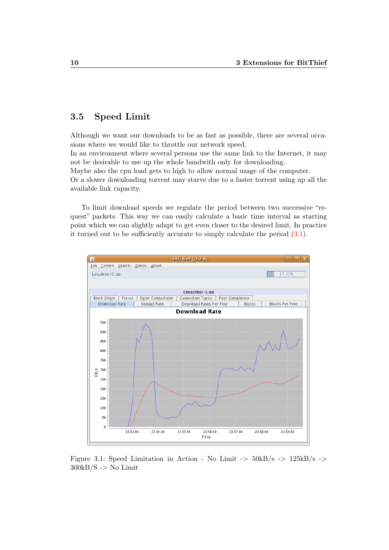### <span id="page-12-0"></span>3.5 Speed Limit

Although we want our downloads to be as fast as possible, there are several occasions where we would like to throttle our network speed.

In an environment where several persons use the same link to the Internet, it may not be desirable to use up the whole bandwith only for downloading.

Maybe also the cpu load gets to high to allow normal usage of the computer. Or a slower downloading torrent may starve due to a faster torrent using up all the available link capacity.

To limit download speeds we regulate the period between two successive "request" packets. This way we can easily calculate a basic time interval as starting point which we can slightly adapt to get even closer to the desired limit. In practice it turned out to be sufficiently accurate to simply calculate the period [\(3.1\)](#page-13-0).



<span id="page-12-1"></span>Figure 3.1: Speed Limitation in Action - No Limit  $\rightarrow$  50kB/s -> 125kB/s ->  $300kB/S$  -> No Limit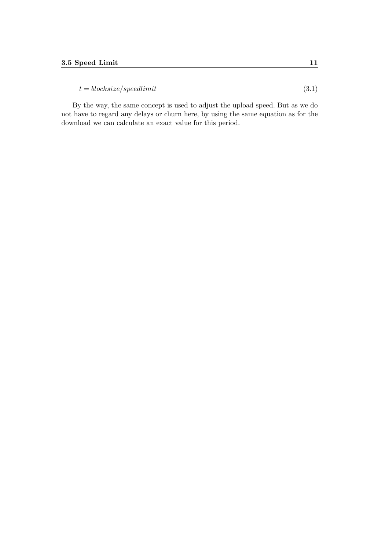<span id="page-13-0"></span> $t = blocksize/speedlimit$  (3.1)

By the way, the same concept is used to adjust the upload speed. But as we do not have to regard any delays or churn here, by using the same equation as for the download we can calculate an exact value for this period.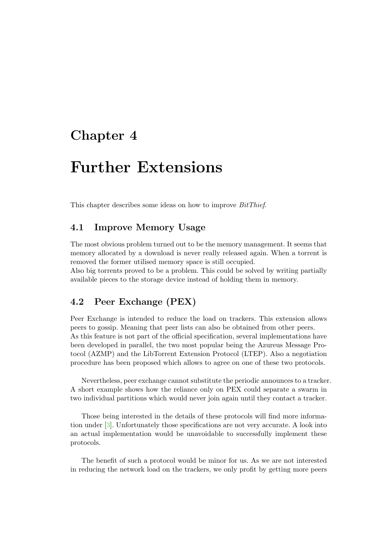## <span id="page-14-0"></span>Further Extensions

This chapter describes some ideas on how to improve BitThief.

### <span id="page-14-1"></span>4.1 Improve Memory Usage

The most obvious problem turned out to be the memory management. It seems that memory allocated by a download is never really released again. When a torrent is removed the former utilised memory space is still occupied.

Also big torrents proved to be a problem. This could be solved by writing partially available pieces to the storage device instead of holding them in memory.

### <span id="page-14-2"></span>4.2 Peer Exchange (PEX)

Peer Exchange is intended to reduce the load on trackers. This extension allows peers to gossip. Meaning that peer lists can also be obtained from other peers. As this feature is not part of the official specification, several implementations have been developed in parallel, the two most popular being the Azureus Message Protocol (AZMP) and the LibTorrent Extension Protocol (LTEP). Also a negotiation procedure has been proposed which allows to agree on one of these two protocols.

Nevertheless, peer exchange cannot substitute the periodic announces to a tracker. A short example shows how the reliance only on PEX could separate a swarm in two individual partitions which would never join again until they contact a tracker.

Those being interested in the details of these protocols will find more information under [\[3\]](#page-17-2). Unfortunately those specifications are not very accurate. A look into an actual implementation would be unavoidable to successfully implement these protocols.

The benefit of such a protocol would be minor for us. As we are not interested in reducing the network load on the trackers, we only profit by getting more peers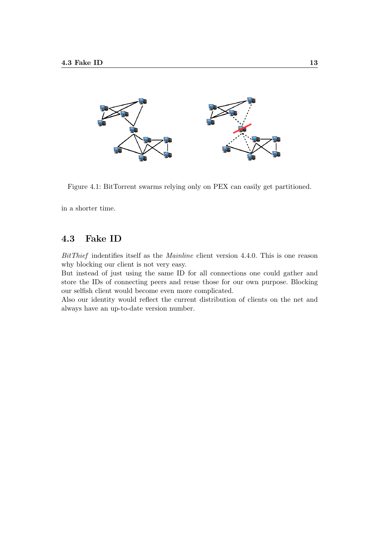

Figure 4.1: BitTorrent swarms relying only on PEX can easily get partitioned.

<span id="page-15-1"></span>in a shorter time.

### <span id="page-15-0"></span>4.3 Fake ID

BitThief indentifies itself as the Mainline client version 4.4.0. This is one reason why blocking our client is not very easy.

But instead of just using the same ID for all connections one could gather and store the IDs of connecting peers and reuse those for our own purpose. Blocking our selfish client would become even more complicated.

Also our identity would reflect the current distribution of clients on the net and always have an up-to-date version number.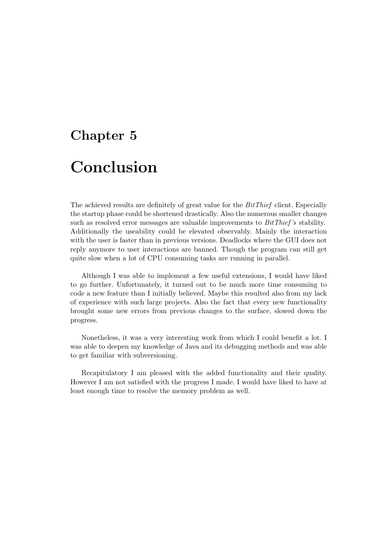# <span id="page-16-0"></span>Chapter 5 Conclusion

The achieved results are definitely of great value for the *BitThief* client. Especially the startup phase could be shortened drastically. Also the numerous smaller changes such as resolved error messages are valuable improvements to  $BitThief's$  stability. Additionally the useability could be elevated observably. Mainly the interaction with the user is faster than in previous versions. Deadlocks where the GUI does not reply anymore to user interactions are banned. Though the program can still get quite slow when a lot of CPU consuming tasks are running in parallel.

Although I was able to implement a few useful extensions, I would have liked to go further. Unfortunately, it turned out to be much more time consuming to code a new feature than I initially believed. Maybe this resulted also from my lack of experience with such large projects. Also the fact that every new functionality brought some new errors from previous changes to the surface, slowed down the progress.

Nonetheless, it was a very interesting work from which I could benefit a lot. I was able to deepen my knowledge of Java and its debugging methods and was able to get familiar with subversioning.

Recapitulatory I am pleased with the added functionality and their quality. However I am not satisfied with the progress I made. I would have liked to have at least enough time to resolve the memory problem as well.